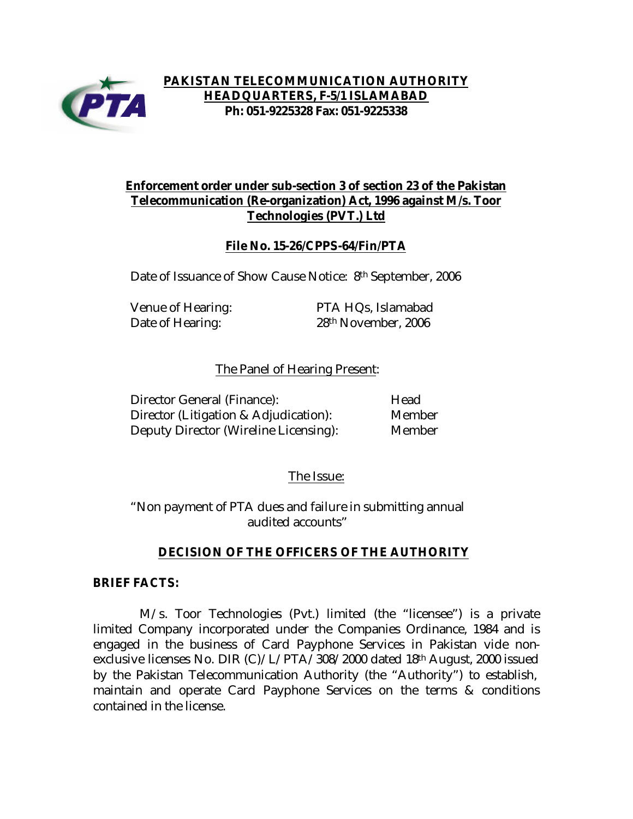

**PAKISTAN TELECOMMUNICATION AUTHORITY HEADQUARTERS, F-5/1 ISLAMABAD Ph: 051-9225328 Fax: 051-9225338**

# **Enforcement order under sub-section 3 of section 23 of the Pakistan Telecommunication (Re-organization) Act, 1996 against M/s. Toor Technologies (PVT.) Ltd**

## **File No. 15-26/CPPS-64/Fin/PTA**

Date of Issuance of Show Cause Notice: 8<sup>th</sup> September, 2006

Venue of Hearing: PTA HQs, Islamabad Date of Hearing: 28<sup>th</sup> November, 2006

### The Panel of Hearing Present:

| Director General (Finance):                  | Head          |
|----------------------------------------------|---------------|
| Director (Litigation & Adjudication):        | Member        |
| <b>Deputy Director (Wireline Licensing):</b> | <b>Member</b> |

#### The Issue:

"Non payment of PTA dues and failure in submitting annual audited accounts"

#### **DECISION OF THE OFFICERS OF THE AUTHORITY**

#### **BRIEF FACTS:**

 M/s. Toor Technologies (Pvt.) limited (the "licensee") is a private limited Company incorporated under the Companies Ordinance, 1984 and is engaged in the business of Card Payphone Services in Pakistan vide nonexclusive licenses No. DIR (C)/L/PTA/308/2000 dated 18th August, 2000 issued by the Pakistan Telecommunication Authority (the "Authority") to establish, maintain and operate Card Payphone Services on the terms & conditions contained in the license.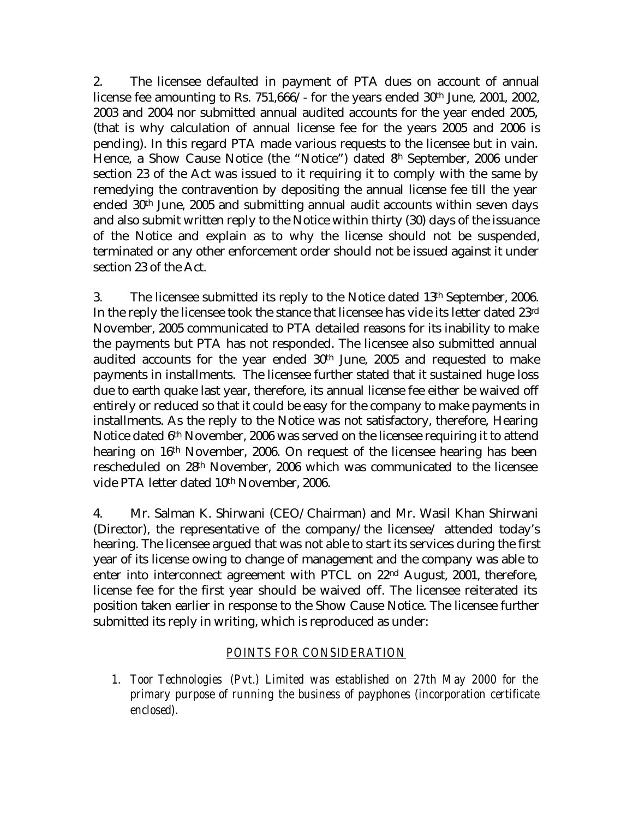2. The licensee defaulted in payment of PTA dues on account of annual license fee amounting to Rs. 751,666/- for the years ended 30th June, 2001, 2002, 2003 and 2004 nor submitted annual audited accounts for the year ended 2005, (that is why calculation of annual license fee for the years 2005 and 2006 is pending). In this regard PTA made various requests to the licensee but in vain. Hence, a Show Cause Notice (the "Notice") dated 8<sup>h</sup> September, 2006 under section 23 of the Act was issued to it requiring it to comply with the same by remedying the contravention by depositing the annual license fee till the year ended 30th June, 2005 and submitting annual audit accounts within seven days and also submit written reply to the Notice within thirty (30) days of the issuance of the Notice and explain as to why the license should not be suspended, terminated or any other enforcement order should not be issued against it under section 23 of the Act.

3. The licensee submitted its reply to the Notice dated 13th September, 2006. In the reply the licensee took the stance that licensee has vide its letter dated 23rd November, 2005 communicated to PTA detailed reasons for its inability to make the payments but PTA has not responded. The licensee also submitted annual audited accounts for the year ended 30th June, 2005 and requested to make payments in installments. The licensee further stated that it sustained huge loss due to earth quake last year, therefore, its annual license fee either be waived off entirely or reduced so that it could be easy for the company to make payments in installments. As the reply to the Notice was not satisfactory, therefore, Hearing Notice dated 6th November, 2006 was served on the licensee requiring it to attend hearing on 16th November, 2006. On request of the licensee hearing has been rescheduled on 28th November, 2006 which was communicated to the licensee vide PTA letter dated 10th November, 2006.

4. Mr. Salman K. Shirwani (CEO/Chairman) and Mr. Wasil Khan Shirwani (Director), the representative of the company/the licensee/ attended today's hearing. The licensee argued that was not able to start its services during the first year of its license owing to change of management and the company was able to enter into interconnect agreement with PTCL on 22nd August, 2001, therefore, license fee for the first year should be waived off. The licensee reiterated its position taken earlier in response to the Show Cause Notice. The licensee further submitted its reply in writing, which is reproduced as under:

## *POINTS FOR CONSIDERATION*

*1. Toor Technologies (Pvt.) Limited was established on 27th May 2000 for the primary purpose of running the business of payphones (incorporation certificate enclosed).*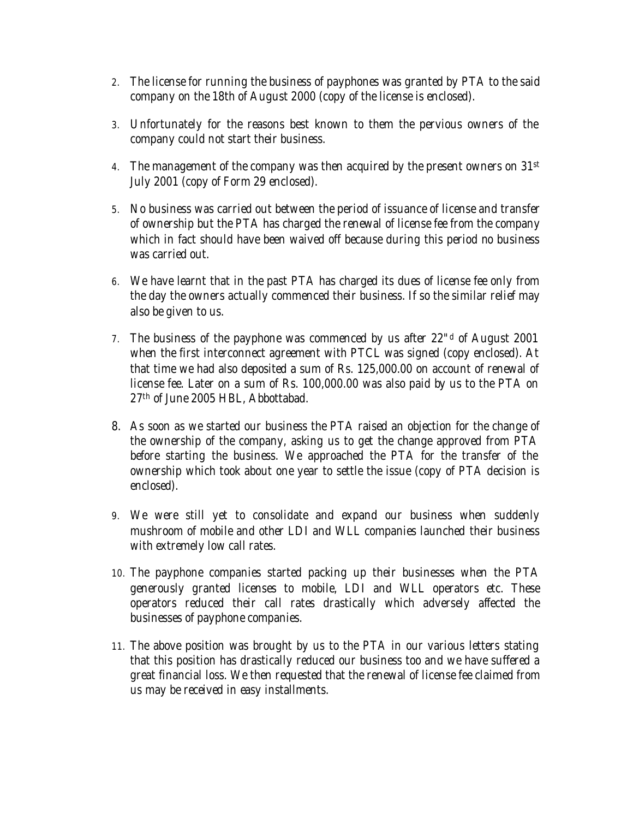- *2. The license for running the business of payphones was granted by PTA to the said company on the 18th of August 2000 (copy of the license is enclosed).*
- *3. Unfortunately for the reasons best known to them the pervious owners of the company could not start their business.*
- *4. The management of the company was then acquired by the present owners on 31st July 2001 (copy of Form 29 enclosed).*
- *5. No business was carried out between the period of issuance of license and transfer of ownership but the PTA has charged the renewal of license fee from the company which in fact should have been waived off because during this period no business was carried out.*
- *6. We have learnt that in the past PTA has charged its dues of license fee only from the day the owners actually commenced their business. If so the similar relief may also be given to us.*
- *7. The business of the payphone was commenced by us after 22"<sup>d</sup> of August 2001 when the first interconnect agreement with PTCL was signed (copy enclosed). At*  that time we had also deposited a sum of Rs. 125,000.00 on account of renewal of *license fee. Later on a sum of Rs. 100,000.00 was also paid by us to the PTA on 27th of June 2005 HBL, Abbottabad.*
- *8. As soon as we started our business the PTA raised an objection for the change of the ownership of the company, asking us to get the change approved from PTA before starting the business. We approached the PTA for the transfer of the ownership which took about one year to settle the issue (copy of PTA decision is enclosed).*
- *9. We were still yet to consolidate and expand our business when suddenly mushroom of mobile and other LDI and WLL companies launched their business with extremely low call rates.*
- *10. The payphone companies started packing up their businesses when the PTA generously granted licenses to mobile, LDI and WLL operators etc. These operators reduced their call rates drastically which adversely affected the businesses of payphone companies.*
- *11. The above position was brought by us to the PTA in our various letters stating that this position has drastically reduced our business too and we have suffered a great financial loss. We then requested that the renewal of license fee claimed from us may be received in easy installments.*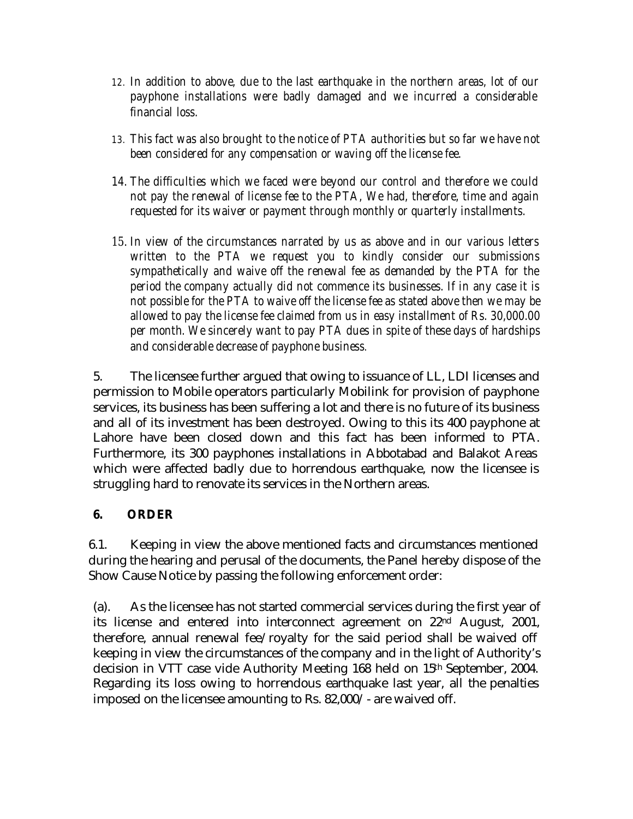- *12. In addition to above, due to the last earthquake in the northern areas, lot of our payphone installations were badly damaged and we incurred a considerable financial loss.*
- *13. This fact was also brought to the notice of PTA authorities but so far we have not been considered for any compensation or waving off the license fee.*
- *14. The difficulties which we faced were beyond our control and therefore we could not pay the renewal of license fee to the PTA, We had, therefore, time and again requested for its waiver or payment through monthly or quarterly installments.*
- 15. *In view of the circumstances narrated by us as above and in our various letters written to the PTA we request you to kindly consider our submissions sympathetically and waive off the renewal fee as demanded by the PTA for the period the company actually did not commence its businesses. If in any case it is not possible for the PTA to waive off the license fee as stated above then we may be allowed to pay the license fee claimed from us in easy installment of Rs. 30,000.00 per month. We sincerely want to pay PTA dues in spite of these days of hardships and considerable decrease of payphone business.*

5. The licensee further argued that owing to issuance of LL, LDI licenses and permission to Mobile operators particularly Mobilink for provision of payphone services, its business has been suffering a lot and there is no future of its business and all of its investment has been destroyed. Owing to this its 400 payphone at Lahore have been closed down and this fact has been informed to PTA. Furthermore, its 300 payphones installations in Abbotabad and Balakot Areas which were affected badly due to horrendous earthquake, now the licensee is struggling hard to renovate its services in the Northern areas.

# **6. ORDER**

6.1. Keeping in view the above mentioned facts and circumstances mentioned during the hearing and perusal of the documents, the Panel hereby dispose of the Show Cause Notice by passing the following enforcement order:

(a). As the licensee has not started commercial services during the first year of its license and entered into interconnect agreement on 22nd August, 2001, therefore, annual renewal fee/royalty for the said period shall be waived off keeping in view the circumstances of the company and in the light of Authority's decision in VTT case vide Authority Meeting 168 held on 15th September, 2004. Regarding its loss owing to horrendous earthquake last year, all the penalties imposed on the licensee amounting to Rs. 82,000/- are waived off.